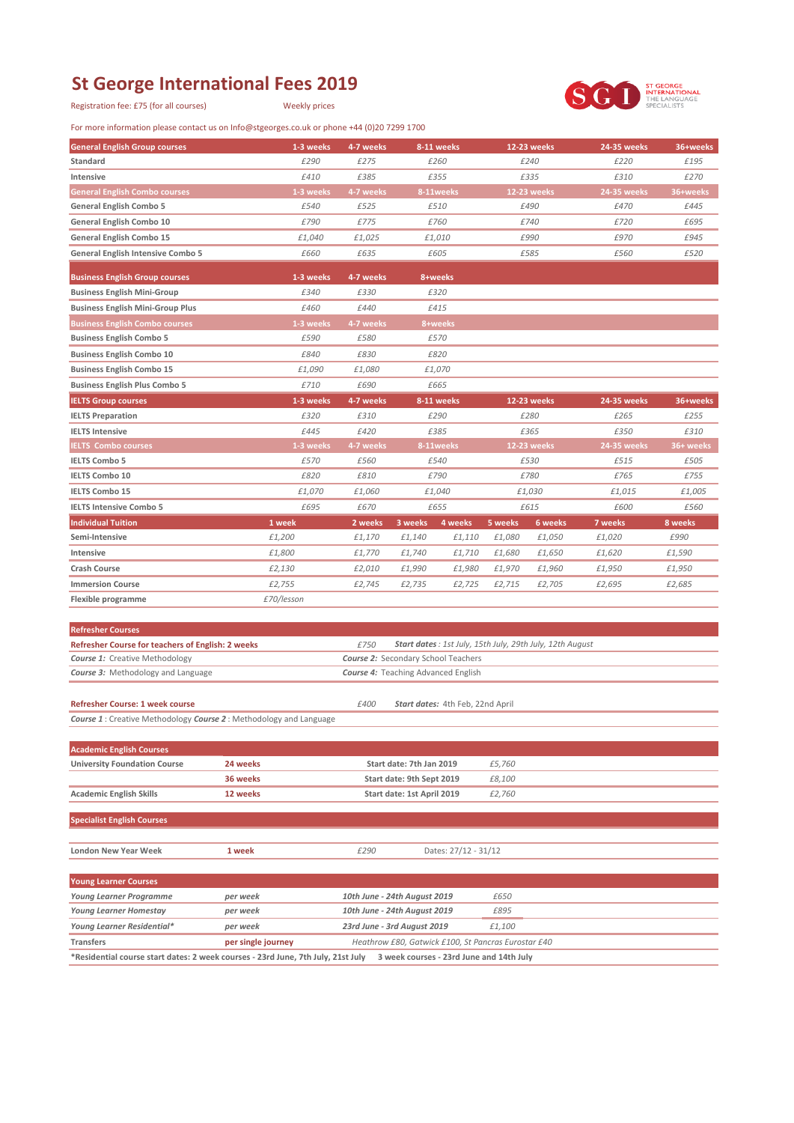## **St George International Fees 2019**

Registration fee: £75 (for all courses) Weekly prices

For more information please contact us on Info@stgeorges.co.uk or phone +44 (0)20 7299 1700



| <b>General English Group courses</b>                                                                                         | 1-3 weeks          | 4-7 weeks                                  |                                                     | 8-11 weeks                       |         | 12-23 weeks                                              | <b>24-35 weeks</b> | 36+weeks  |
|------------------------------------------------------------------------------------------------------------------------------|--------------------|--------------------------------------------|-----------------------------------------------------|----------------------------------|---------|----------------------------------------------------------|--------------------|-----------|
| Standard                                                                                                                     | £290               | £275                                       |                                                     | £260                             |         | £240                                                     | £220               | £195      |
| Intensive                                                                                                                    | £410               | £385                                       |                                                     | £355                             |         | £335                                                     | £310               | £270      |
| <b>General English Combo courses</b>                                                                                         | 1-3 weeks          | 4-7 weeks                                  |                                                     | 8-11weeks                        |         | <b>12-23 weeks</b>                                       | <b>24-35 weeks</b> | 36+weeks  |
| <b>General English Combo 5</b>                                                                                               | £540               | £525                                       |                                                     | £510                             |         | £490                                                     | £470               | £445      |
| General English Combo 10                                                                                                     | £790               | £775                                       |                                                     | £760                             |         | £740                                                     | £720               | £695      |
| General English Combo 15                                                                                                     | £1,040             | £1,025                                     |                                                     | £1,010                           |         | £990                                                     | £970               | £945      |
| <b>General English Intensive Combo 5</b>                                                                                     | £660               | £635                                       |                                                     | £605                             |         | £585                                                     | £560               | £520      |
|                                                                                                                              |                    |                                            |                                                     |                                  |         |                                                          |                    |           |
| <b>Business English Group courses</b>                                                                                        | 1-3 weeks          | 4-7 weeks                                  |                                                     | 8+weeks                          |         |                                                          |                    |           |
| <b>Business English Mini-Group</b>                                                                                           | £340               | £330                                       |                                                     | £320                             |         |                                                          |                    |           |
| <b>Business English Mini-Group Plus</b>                                                                                      | £460               | £440                                       |                                                     | £415                             |         |                                                          |                    |           |
| <b>Business English Combo courses</b>                                                                                        | 1-3 weeks          | 4-7 weeks                                  |                                                     | 8+weeks                          |         |                                                          |                    |           |
| <b>Business English Combo 5</b>                                                                                              | £590               | £580                                       |                                                     | £570                             |         |                                                          |                    |           |
| <b>Business English Combo 10</b>                                                                                             | £840               | £830                                       |                                                     | £820                             |         |                                                          |                    |           |
| <b>Business English Combo 15</b>                                                                                             | £1,090             | £1,080                                     |                                                     | £1,070                           |         |                                                          |                    |           |
| <b>Business English Plus Combo 5</b>                                                                                         | £710               | £690                                       |                                                     | £665                             |         |                                                          |                    |           |
| <b>IELTS Group courses</b>                                                                                                   | 1-3 weeks          | 4-7 weeks                                  |                                                     | 8-11 weeks                       |         | 12-23 weeks                                              | <b>24-35 weeks</b> | 36+weeks  |
| <b>IELTS Preparation</b>                                                                                                     | £320               | £310                                       |                                                     | £290                             |         | £280                                                     | £265               | £255      |
| <b>IELTS Intensive</b>                                                                                                       | £445               | £420                                       |                                                     | £385                             |         | £365                                                     | £350               | £310      |
| <b>IELTS Combo courses</b>                                                                                                   | 1-3 weeks          | 4-7 weeks                                  |                                                     | 8-11weeks                        |         | <b>12-23 weeks</b>                                       | 24-35 weeks        | 36+ weeks |
| <b>IELTS Combo 5</b>                                                                                                         | £570               | £560                                       |                                                     | £540                             |         | £530                                                     | £515               | £505      |
| <b>IELTS Combo 10</b>                                                                                                        | £820               | £810                                       |                                                     | £790                             |         | £780                                                     | £765               | £755      |
| <b>IELTS Combo 15</b>                                                                                                        | £1,070             | £1,060                                     |                                                     | £1,040                           |         | £1,030                                                   | £1,015             | £1,005    |
| <b>IELTS Intensive Combo 5</b>                                                                                               | £695               | £670                                       |                                                     | £655                             |         | £615                                                     | £600               | £560      |
| <b>Individual Tuition</b>                                                                                                    | 1 week             | 2 weeks                                    | 3 weeks                                             | 4 weeks                          | 5 weeks | 6 weeks                                                  | 7 weeks            | 8 weeks   |
| Semi-Intensive                                                                                                               | £1,200             | £1,170                                     | £1,140                                              | £1,110                           | £1,080  | £1,050                                                   | £1,020             | £990      |
| Intensive                                                                                                                    | £1,800             | £1,770                                     | £1,740                                              | £1,710                           | £1,680  | £1,650                                                   | £1,620             | £1,590    |
| <b>Crash Course</b>                                                                                                          | £2,130             | £2,010                                     | £1,990                                              | £1,980                           | £1,970  | £1,960                                                   | £1,950             | £1,950    |
| <b>Immersion Course</b>                                                                                                      | £2,755             | £2,745                                     | £2,735                                              | £2,725                           | £2,715  | £2,705                                                   | £2,695             | £2,685    |
| Flexible programme                                                                                                           | £70/lesson         |                                            |                                                     |                                  |         |                                                          |                    |           |
|                                                                                                                              |                    |                                            |                                                     |                                  |         |                                                          |                    |           |
| <b>Refresher Courses</b>                                                                                                     |                    |                                            |                                                     |                                  |         |                                                          |                    |           |
| Refresher Course for teachers of English: 2 weeks                                                                            |                    | £750                                       |                                                     |                                  |         | Start dates: 1st July, 15th July, 29th July, 12th August |                    |           |
| <b>Course 1: Creative Methodology</b>                                                                                        |                    | <b>Course 2: Secondary School Teachers</b> |                                                     |                                  |         |                                                          |                    |           |
| Course 3: Methodology and Language                                                                                           |                    | <b>Course 4:</b> Teaching Advanced English |                                                     |                                  |         |                                                          |                    |           |
|                                                                                                                              |                    |                                            |                                                     |                                  |         |                                                          |                    |           |
| <b>Refresher Course: 1 week course</b>                                                                                       |                    | £400                                       |                                                     | Start dates: 4th Feb, 22nd April |         |                                                          |                    |           |
| <b>Course 1</b> : Creative Methodology <b>Course 2</b> : Methodology and Language                                            |                    |                                            |                                                     |                                  |         |                                                          |                    |           |
|                                                                                                                              |                    |                                            |                                                     |                                  |         |                                                          |                    |           |
| <b>Academic English Courses</b>                                                                                              |                    |                                            |                                                     |                                  |         |                                                          |                    |           |
| <b>University Foundation Course</b>                                                                                          | 24 weeks           |                                            | Start date: 7th Jan 2019                            |                                  | £5,760  |                                                          |                    |           |
|                                                                                                                              | 36 weeks           |                                            | Start date: 9th Sept 2019                           |                                  | £8,100  |                                                          |                    |           |
| <b>Academic English Skills</b>                                                                                               | 12 weeks           |                                            | Start date: 1st April 2019                          |                                  | £2,760  |                                                          |                    |           |
| <b>Specialist English Courses</b>                                                                                            |                    |                                            |                                                     |                                  |         |                                                          |                    |           |
|                                                                                                                              |                    |                                            |                                                     |                                  |         |                                                          |                    |           |
| London New Year Week                                                                                                         | 1 week             | £290                                       |                                                     | Dates: 27/12 - 31/12             |         |                                                          |                    |           |
|                                                                                                                              |                    |                                            |                                                     |                                  |         |                                                          |                    |           |
| <b>Young Learner Courses</b>                                                                                                 |                    |                                            |                                                     |                                  |         |                                                          |                    |           |
| <b>Young Learner Programme</b>                                                                                               | per week           | 10th June - 24th August 2019               |                                                     |                                  | £650    |                                                          |                    |           |
| Young Learner Homestay                                                                                                       | per week           | 10th June - 24th August 2019               |                                                     |                                  | £895    |                                                          |                    |           |
| Young Learner Residential*                                                                                                   | per week           | 23rd June - 3rd August 2019<br>£1,100      |                                                     |                                  |         |                                                          |                    |           |
| <b>Transfers</b>                                                                                                             | per single journey |                                            | Heathrow £80, Gatwick £100, St Pancras Eurostar £40 |                                  |         |                                                          |                    |           |
| *Residential course start dates: 2 week courses - 23rd June, 7th July, 21st July<br>3 week courses - 23rd June and 14th July |                    |                                            |                                                     |                                  |         |                                                          |                    |           |